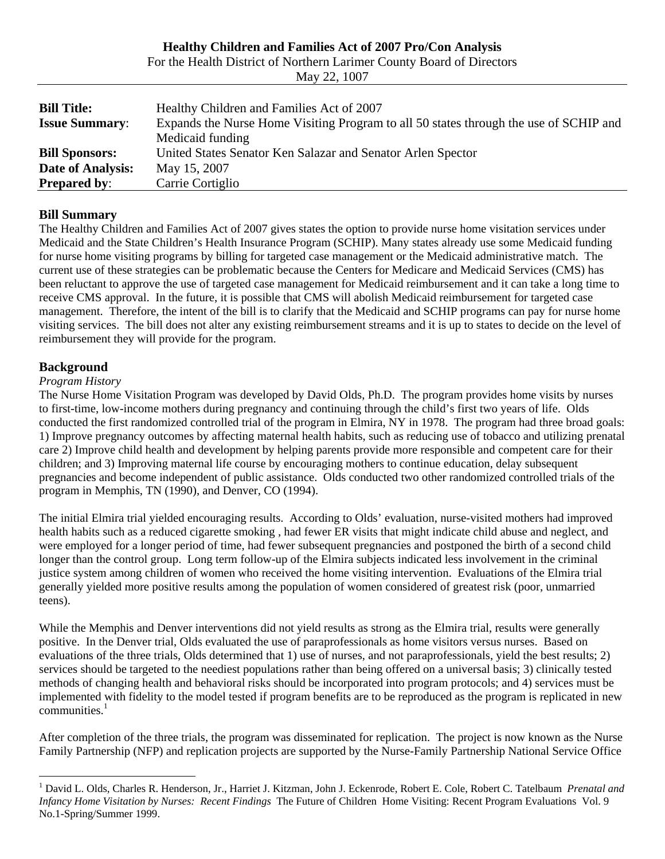|                       | For the riealth District of Northern Earliner County Board of Directors               |
|-----------------------|---------------------------------------------------------------------------------------|
|                       | May 22, 1007                                                                          |
|                       |                                                                                       |
| <b>Bill Title:</b>    | Healthy Children and Families Act of 2007                                             |
| <b>Issue Summary:</b> | Expands the Nurse Home Visiting Program to all 50 states through the use of SCHIP and |
|                       | Medicaid funding                                                                      |
| <b>Bill Sponsors:</b> | United States Senator Ken Salazar and Senator Arlen Spector                           |
| Date of Analysis:     | May 15, 2007                                                                          |
| <b>Prepared by:</b>   | Carrie Cortiglio                                                                      |

# **Healthy Children and Families Act of 2007 Pro/Con Analysis**

For the Health District of Northern Larimer County Board of Directors

# **Bill Summary**

The Healthy Children and Families Act of 2007 gives states the option to provide nurse home visitation services under Medicaid and the State Children's Health Insurance Program (SCHIP). Many states already use some Medicaid funding for nurse home visiting programs by billing for targeted case management or the Medicaid administrative match. The current use of these strategies can be problematic because the Centers for Medicare and Medicaid Services (CMS) has been reluctant to approve the use of targeted case management for Medicaid reimbursement and it can take a long time to receive CMS approval. In the future, it is possible that CMS will abolish Medicaid reimbursement for targeted case management. Therefore, the intent of the bill is to clarify that the Medicaid and SCHIP programs can pay for nurse home visiting services. The bill does not alter any existing reimbursement streams and it is up to states to decide on the level of reimbursement they will provide for the program.

## **Background**

 $\overline{a}$ 

### *Program History*

The Nurse Home Visitation Program was developed by David Olds, Ph.D. The program provides home visits by nurses to first-time, low-income mothers during pregnancy and continuing through the child's first two years of life. Olds conducted the first randomized controlled trial of the program in Elmira, NY in 1978. The program had three broad goals: 1) Improve pregnancy outcomes by affecting maternal health habits, such as reducing use of tobacco and utilizing prenatal care 2) Improve child health and development by helping parents provide more responsible and competent care for their children; and 3) Improving maternal life course by encouraging mothers to continue education, delay subsequent pregnancies and become independent of public assistance. Olds conducted two other randomized controlled trials of the program in Memphis, TN (1990), and Denver, CO (1994).

The initial Elmira trial yielded encouraging results. According to Olds' evaluation, nurse-visited mothers had improved health habits such as a reduced cigarette smoking , had fewer ER visits that might indicate child abuse and neglect, and were employed for a longer period of time, had fewer subsequent pregnancies and postponed the birth of a second child longer than the control group. Long term follow-up of the Elmira subjects indicated less involvement in the criminal justice system among children of women who received the home visiting intervention. Evaluations of the Elmira trial generally yielded more positive results among the population of women considered of greatest risk (poor, unmarried teens).

While the Memphis and Denver interventions did not yield results as strong as the Elmira trial, results were generally positive. In the Denver trial, Olds evaluated the use of paraprofessionals as home visitors versus nurses. Based on evaluations of the three trials, Olds determined that 1) use of nurses, and not paraprofessionals, yield the best results; 2) services should be targeted to the neediest populations rather than being offered on a universal basis; 3) clinically tested methods of changing health and behavioral risks should be incorporated into program protocols; and 4) services must be implemented with fidelity to the model tested if program benefits are to be reproduced as the program is replicated in new  $commu nities.<sup>1</sup>$  $commu nities.<sup>1</sup>$  $commu nities.<sup>1</sup>$ 

After completion of the three trials, the program was disseminated for replication. The project is now known as the Nurse Family Partnership (NFP) and replication projects are supported by the Nurse-Family Partnership National Service Office

<span id="page-0-0"></span><sup>&</sup>lt;sup>1</sup> David L. Olds, Charles R. Henderson, Jr., Harriet J. Kitzman, John J. Eckenrode, Robert E. Cole, Robert C. Tatelbaum *Prenatal and Infancy Home Visitation by Nurses: Recent Findings* The Future of Children Home Visiting: Recent Program Evaluations Vol. 9 No.1-Spring/Summer 1999.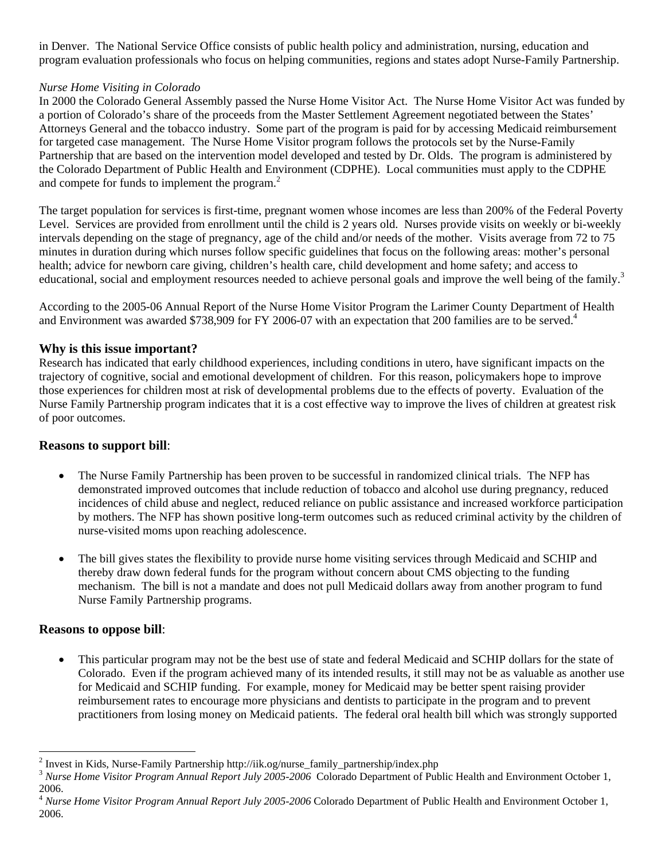in Denver. The National Service Office consists of public health policy and administration, nursing, education and program evaluation professionals who focus on helping communities, regions and states adopt Nurse-Family Partnership.

## *Nurse Home Visiting in Colorado*

In 2000 the Colorado General Assembly passed the Nurse Home Visitor Act. The Nurse Home Visitor Act was funded by a portion of Colorado's share of the proceeds from the Master Settlement Agreement negotiated between the States' Attorneys General and the tobacco industry. Some part of the program is paid for by accessing Medicaid reimbursement for targeted case management. The Nurse Home Visitor program follows the protocols set by the Nurse-Family Partnership that are based on the intervention model developed and tested by Dr. Olds. The program is administered by the Colorado Department of Public Health and Environment (CDPHE). Local communities must apply to the CDPHE andcompete for funds to implement the program.<sup>2</sup>

The target population for services is first-time, pregnant women whose incomes are less than 200% of the Federal Poverty Level. Services are provided from enrollment until the child is 2 years old. Nurses provide visits on weekly or bi-weekly intervals depending on the stage of pregnancy, age of the child and/or needs of the mother. Visits average from 72 to 75 minutes in duration during which nurses follow specific guidelines that focus on the following areas: mother's personal health; advice for newborn care giving, children's health care, child development and home safety; and access to educational, social and employment resources needed to achieve personal goals and improve the well being of the family.<sup>[3](#page-1-1)</sup>

According to the 2005-06 Annual Report of the Nurse Home Visitor Program the Larimer County Department of Health and Environment was awarded \$738,909 for FY 2006-07 with an expectation that 200 families are to be served.<sup>4</sup>

## **Why is this issue important?**

Research has indicated that early childhood experiences, including conditions in utero, have significant impacts on the trajectory of cognitive, social and emotional development of children. For this reason, policymakers hope to improve those experiences for children most at risk of developmental problems due to the effects of poverty. Evaluation of the Nurse Family Partnership program indicates that it is a cost effective way to improve the lives of children at greatest risk of poor outcomes.

### **Reasons to support bill**:

- The Nurse Family Partnership has been proven to be successful in randomized clinical trials. The NFP has demonstrated improved outcomes that include reduction of tobacco and alcohol use during pregnancy, reduced incidences of child abuse and neglect, reduced reliance on public assistance and increased workforce participation by mothers. The NFP has shown positive long-term outcomes such as reduced criminal activity by the children of nurse-visited moms upon reaching adolescence.
- The bill gives states the flexibility to provide nurse home visiting services through Medicaid and SCHIP and thereby draw down federal funds for the program without concern about CMS objecting to the funding mechanism. The bill is not a mandate and does not pull Medicaid dollars away from another program to fund Nurse Family Partnership programs.

### **Reasons to oppose bill**:

 $\overline{a}$ 

• This particular program may not be the best use of state and federal Medicaid and SCHIP dollars for the state of Colorado. Even if the program achieved many of its intended results, it still may not be as valuable as another use for Medicaid and SCHIP funding. For example, money for Medicaid may be better spent raising provider reimbursement rates to encourage more physicians and dentists to participate in the program and to prevent practitioners from losing money on Medicaid patients. The federal oral health bill which was strongly supported

<span id="page-1-0"></span><sup>&</sup>lt;sup>2</sup> Invest in Kids, Nurse-Family Partnership http://iik.og/nurse\_family\_partnership/index.php

<span id="page-1-1"></span><sup>&</sup>lt;sup>3</sup> Nurse Home Visitor Program Annual Report July 2005-2006 Colorado Department of Public Health and Environment October 1, 2006.

<span id="page-1-2"></span><sup>4</sup> *Nurse Home Visitor Program Annual Report July 2005-2006* Colorado Department of Public Health and Environment October 1, 2006.